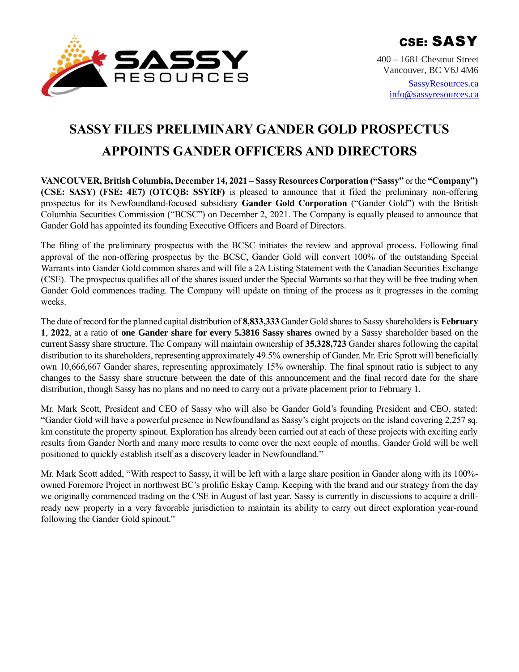

400 – 1681 Chestnut Street Vancouver, BC V6J 4M6

> [SassyResources.ca](http://www.sassyresources.ca/) [info@sassyresources.ca](mailto:info@sassyresources.ca)

# **SASSY FILES PRELIMINARY GANDER GOLD PROSPECTUS APPOINTS GANDER OFFICERS AND DIRECTORS**

**VANCOUVER, British Columbia, December 14, 2021 – Sassy Resources Corporation ("Sassy"** or the **"Company") (CSE: SASY) (FSE: 4E7) (OTCQB: SSYRF)** is pleased to announce that it filed the preliminary non-offering prospectus for its Newfoundland-focused subsidiary **Gander Gold Corporation** ("Gander Gold") with the British Columbia Securities Commission ("BCSC") on December 2, 2021. The Company is equally pleased to announce that Gander Gold has appointed its founding Executive Officers and Board of Directors.

The filing of the preliminary prospectus with the BCSC initiates the review and approval process. Following final approval of the non-offering prospectus by the BCSC, Gander Gold will convert 100% of the outstanding Special Warrants into Gander Gold common shares and will file a 2A Listing Statement with the Canadian Securities Exchange (CSE). The prospectus qualifies all of the shares issued under the Special Warrants so that they will be free trading when Gander Gold commences trading. The Company will update on timing of the process as it progresses in the coming weeks.

The date of record for the planned capital distribution of **8,833,333** Gander Gold shares to Sassy shareholders is **February 1**, **2022**, at a ratio of **one Gander share for every 5.3816 Sassy shares** owned by a Sassy shareholder based on the current Sassy share structure. The Company will maintain ownership of **35,328,723** Gander shares following the capital distribution to its shareholders, representing approximately 49.5% ownership of Gander. Mr. Eric Sprott will beneficially own 10,666,667 Gander shares, representing approximately 15% ownership. The final spinout ratio is subject to any changes to the Sassy share structure between the date of this announcement and the final record date for the share distribution, though Sassy has no plans and no need to carry out a private placement prior to February 1.

Mr. Mark Scott, President and CEO of Sassy who will also be Gander Gold's founding President and CEO, stated: "Gander Gold will have a powerful presence in Newfoundland as Sassy's eight projects on the island covering 2,257 sq. km constitute the property spinout. Exploration has already been carried out at each of these projects with exciting early results from Gander North and many more results to come over the next couple of months. Gander Gold will be well positioned to quickly establish itself as a discovery leader in Newfoundland."

Mr. Mark Scott added, "With respect to Sassy, it will be left with a large share position in Gander along with its 100% owned Foremore Project in northwest BC's prolific Eskay Camp. Keeping with the brand and our strategy from the day we originally commenced trading on the CSE in August of last year, Sassy is currently in discussions to acquire a drillready new property in a very favorable jurisdiction to maintain its ability to carry out direct exploration year-round following the Gander Gold spinout."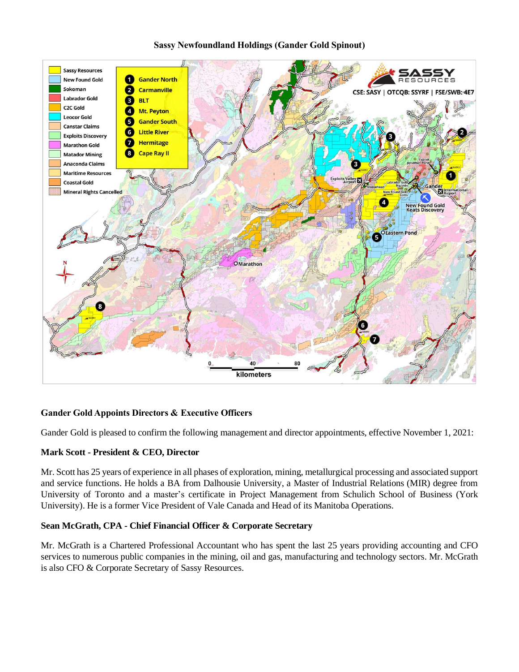## **Sassy Newfoundland Holdings (Gander Gold Spinout)**



# **Gander Gold Appoints Directors & Executive Officers**

Gander Gold is pleased to confirm the following management and director appointments, effective November 1, 2021:

## **Mark Scott - President & CEO, Director**

Mr. Scott has 25 years of experience in all phases of exploration, mining, metallurgical processing and associated support and service functions. He holds a BA from Dalhousie University, a Master of Industrial Relations (MIR) degree from University of Toronto and a master's certificate in Project Management from Schulich School of Business (York University). He is a former Vice President of Vale Canada and Head of its Manitoba Operations.

## **Sean McGrath, CPA - Chief Financial Officer & Corporate Secretary**

Mr. McGrath is a Chartered Professional Accountant who has spent the last 25 years providing accounting and CFO services to numerous public companies in the mining, oil and gas, manufacturing and technology sectors. Mr. McGrath is also CFO & Corporate Secretary of Sassy Resources.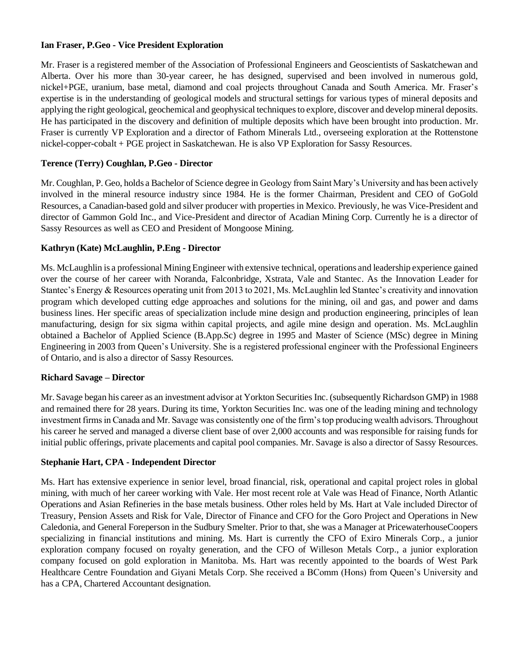# **Ian Fraser, P.Geo - Vice President Exploration**

Mr. Fraser is a registered member of the Association of Professional Engineers and Geoscientists of Saskatchewan and Alberta. Over his more than 30-year career, he has designed, supervised and been involved in numerous gold, nickel+PGE, uranium, base metal, diamond and coal projects throughout Canada and South America. Mr. Fraser's expertise is in the understanding of geological models and structural settings for various types of mineral deposits and applying the right geological, geochemical and geophysical techniques to explore, discover and develop mineral deposits. He has participated in the discovery and definition of multiple deposits which have been brought into production. Mr. Fraser is currently VP Exploration and a director of Fathom Minerals Ltd., overseeing exploration at the Rottenstone nickel-copper-cobalt + PGE project in Saskatchewan. He is also VP Exploration for Sassy Resources.

# **Terence (Terry) Coughlan, P.Geo - Director**

Mr. Coughlan, P. Geo, holds a Bachelor of Science degree in Geology from Saint Mary's University and has been actively involved in the mineral resource industry since 1984. He is the former Chairman, President and CEO of GoGold Resources, a Canadian-based gold and silver producer with properties in Mexico. Previously, he was Vice-President and director of Gammon Gold Inc., and Vice-President and director of Acadian Mining Corp. Currently he is a director of Sassy Resources as well as CEO and President of Mongoose Mining.

# **Kathryn (Kate) McLaughlin, P.Eng - Director**

Ms. McLaughlin is a professional Mining Engineer with extensive technical, operations and leadership experience gained over the course of her career with Noranda, Falconbridge, Xstrata, Vale and Stantec. As the Innovation Leader for Stantec's Energy & Resources operating unit from 2013 to 2021, Ms. McLaughlin led Stantec's creativity and innovation program which developed cutting edge approaches and solutions for the mining, oil and gas, and power and dams business lines. Her specific areas of specialization include mine design and production engineering, principles of lean manufacturing, design for six sigma within capital projects, and agile mine design and operation. Ms. McLaughlin obtained a Bachelor of Applied Science (B.App.Sc) degree in 1995 and Master of Science (MSc) degree in Mining Engineering in 2003 from Queen's University. She is a registered professional engineer with the Professional Engineers of Ontario, and is also a director of Sassy Resources.

## **Richard Savage – Director**

Mr. Savage began his career as an investment advisor at Yorkton Securities Inc. (subsequently Richardson GMP) in 1988 and remained there for 28 years. During its time, Yorkton Securities Inc. was one of the leading mining and technology investment firms in Canada and Mr. Savage was consistently one of the firm's top producing wealth advisors. Throughout his career he served and managed a diverse client base of over 2,000 accounts and was responsible for raising funds for initial public offerings, private placements and capital pool companies. Mr. Savage is also a director of Sassy Resources.

## **Stephanie Hart, CPA - Independent Director**

Ms. Hart has extensive experience in senior level, broad financial, risk, operational and capital project roles in global mining, with much of her career working with Vale. Her most recent role at Vale was Head of Finance, North Atlantic Operations and Asian Refineries in the base metals business. Other roles held by Ms. Hart at Vale included Director of Treasury, Pension Assets and Risk for Vale, Director of Finance and CFO for the Goro Project and Operations in New Caledonia, and General Foreperson in the Sudbury Smelter. Prior to that, she was a Manager at PricewaterhouseCoopers specializing in financial institutions and mining. Ms. Hart is currently the CFO of Exiro Minerals Corp., a junior exploration company focused on royalty generation, and the CFO of Willeson Metals Corp., a junior exploration company focused on gold exploration in Manitoba. Ms. Hart was recently appointed to the boards of West Park Healthcare Centre Foundation and Giyani Metals Corp. She received a BComm (Hons) from Queen's University and has a CPA, Chartered Accountant designation.